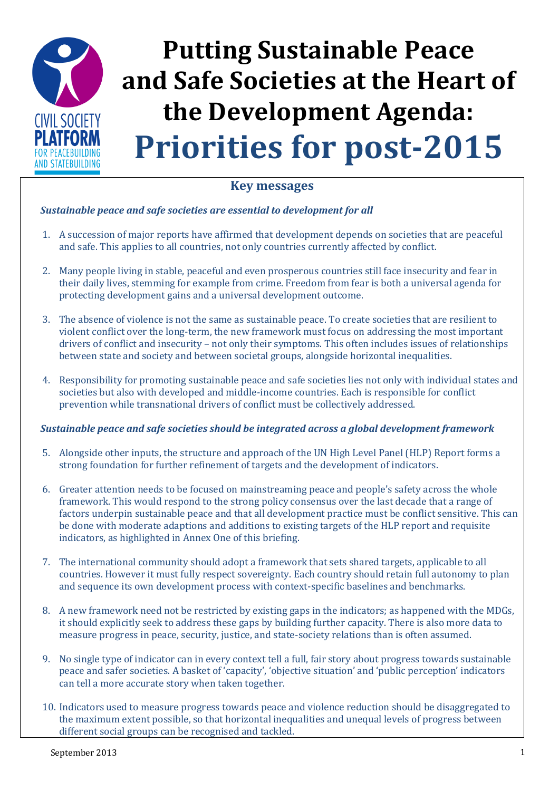

### **Key messages**

### *Sustainable peace and safe societies are essential to development for all*

- 1. A succession of major reports have affirmed that development depends on societies that are peaceful and safe. This applies to all countries, not only countries currently affected by conflict.
- 2. Many people living in stable, peaceful and even prosperous countries still face insecurity and fear in their daily lives, stemming for example from crime. Freedom from fear is both a universal agenda for protecting development gains and a universal development outcome.
- 3. The absence of violence is not the same as sustainable peace. To create societies that are resilient to violent conflict over the long-term, the new framework must focus on addressing the most important drivers of conflict and insecurity – not only their symptoms. This often includes issues of relationships between state and society and between societal groups, alongside horizontal inequalities.
- 4. Responsibility for promoting sustainable peace and safe societies lies not only with individual states and societies but also with developed and middle-income countries. Each is responsible for conflict prevention while transnational drivers of conflict must be collectively addressed.

### *Sustainable peace and safe societies should be integrated across a global development framework*

- 5. Alongside other inputs, the structure and approach of the UN High Level Panel (HLP) Report forms a strong foundation for further refinement of targets and the development of indicators.
- 6. Greater attention needs to be focused on mainstreaming peace and people's safety across the whole framework. This would respond to the strong policy consensus over the last decade that a range of factors underpin sustainable peace and that all development practice must be conflict sensitive. This can be done with moderate adaptions and additions to existing targets of the HLP report and requisite indicators, as highlighted in Annex One of this briefing.
- 7. The international community should adopt a framework that sets shared targets, applicable to all countries. However it must fully respect sovereignty. Each country should retain full autonomy to plan and sequence its own development process with context-specific baselines and benchmarks.
- 8. A new framework need not be restricted by existing gaps in the indicators; as happened with the MDGs, it should explicitly seek to address these gaps by building further capacity. There is also more data to measure progress in peace, security, justice, and state-society relations than is often assumed.
- 9. No single type of indicator can in every context tell a full, fair story about progress towards sustainable peace and safer societies. A basket of 'capacity', 'objective situation' and 'public perception' indicators can tell a more accurate story when taken together.
- 10. Indicators used to measure progress towards peace and violence reduction should be disaggregated to the maximum extent possible, so that horizontal inequalities and unequal levels of progress between different social groups can be recognised and tackled.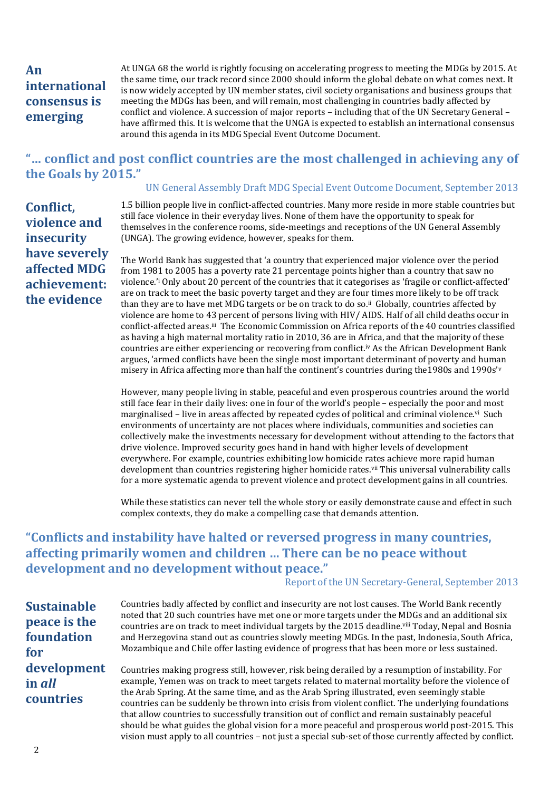## **An international consensus is emerging**

At UNGA 68 the world is rightly focusing on accelerating progress to meeting the MDGs by 2015. At the same time, our track record since 2000 should inform the global debate on what comes next. It is now widely accepted by UN member states, civil society organisations and business groups that meeting the MDGs has been, and will remain, most challenging in countries badly affected by conflict and violence. A succession of major reports – including that of the UN Secretary General – have affirmed this. It is welcome that the UNGA is expected to establish an international consensus around this agenda in its MDG Special Event Outcome Document.

### **"… conflict and post conflict countries are the most challenged in achieving any of the Goals by 2015."**

### UN General Assembly Draft MDG Special Event Outcome Document, September 2013

**Conflict, violence and insecurity have severely affected MDG achievement: the evidence**

1.5 billion people live in conflict-affected countries. Many more reside in more stable countries but still face violence in their everyday lives. None of them have the opportunity to speak for themselves in the conference rooms, side-meetings and receptions of the UN General Assembly (UNGA). The growing evidence, however, speaks for them.

The World Bank has suggested that 'a country that experienced major violence over the period from 1981 to 2005 has a poverty rate 21 percentage points higher than a country that saw no violence.'<sup>i</sup> Only about 20 percent of the countries that it categorises as 'fragile or conflict-affected' are on track to meet the basic poverty target and they are four times more likely to be off track than they are to have met MDG targets or be on track to do so.ii Globally, countries affected by violence are home to 43 percent of persons living with HIV/ AIDS. Half of all child deaths occur in conflict-affected areas.iii The Economic Commission on Africa reports of the 40 countries classified as having a high maternal mortality ratio in 2010, 36 are in Africa, and that the majority of these countries are either experiencing or recovering from conflict. iv As the African Development Bank argues, 'armed conflicts have been the single most important determinant of poverty and human misery in Africa affecting more than half the continent's countries during the1980s and 1990s'<sup>v</sup>

However, many people living in stable, peaceful and even prosperous countries around the world still face fear in their daily lives: one in four of the world's people – especially the poor and most marginalised – live in areas affected by repeated cycles of political and criminal violence.<sup>vi</sup> Such environments of uncertainty are not places where individuals, communities and societies can collectively make the investments necessary for development without attending to the factors that drive violence. Improved security goes hand in hand with higher levels of development everywhere. For example, countries exhibiting low homicide rates achieve more rapid human development than countries registering higher homicide rates.vii This universal vulnerability calls for a more systematic agenda to prevent violence and protect development gains in all countries.

While these statistics can never tell the whole story or easily demonstrate cause and effect in such complex contexts, they do make a compelling case that demands attention.

# **"Conflicts and instability have halted or reversed progress in many countries, affecting primarily women and children … There can be no peace without development and no development without peace."**

### Report of the UN Secretary-General, September 2013

**Sustainable peace is the foundation for development in** *all* **countries**

Countries badly affected by conflict and insecurity are not lost causes. The World Bank recently noted that 20 such countries have met one or more targets under the MDGs and an additional six countries are on track to meet individual targets by the 2015 deadline.<sup>viii</sup> Today, Nepal and Bosnia and Herzegovina stand out as countries slowly meeting MDGs. In the past, Indonesia, South Africa, Mozambique and Chile offer lasting evidence of progress that has been more or less sustained.

Countries making progress still, however, risk being derailed by a resumption of instability. For example, Yemen was on track to meet targets related to maternal mortality before the violence of the Arab Spring. At the same time, and as the Arab Spring illustrated, even seemingly stable countries can be suddenly be thrown into crisis from violent conflict. The underlying foundations that allow countries to successfully transition out of conflict and remain sustainably peaceful should be what guides the global vision for a more peaceful and prosperous world post-2015. This vision must apply to all countries – not just a special sub-set of those currently affected by conflict.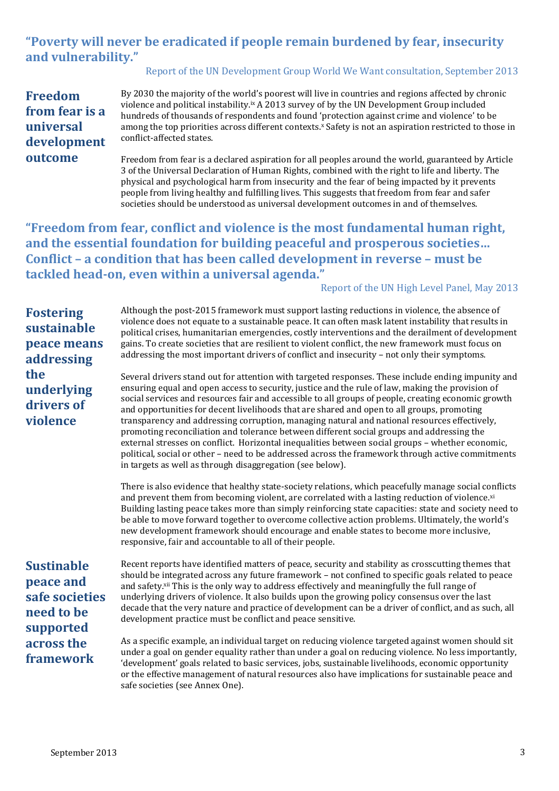# **"Poverty will never be eradicated if people remain burdened by fear, insecurity and vulnerability."**

### Report of the UN Development Group World We Want consultation, September 2013

**Freedom from fear is a universal development outcome** 

By 2030 the majority of the world's poorest will live in countries and regions affected by chronic violence and political instability.<sup>ix</sup> A 2013 survey of by the UN Development Group included hundreds of thousands of respondents and found 'protection against crime and violence' to be among the top priorities across different contexts. <sup>x</sup> Safety is not an aspiration restricted to those in conflict-affected states.

Freedom from fear is a declared aspiration for all peoples around the world, guaranteed by Article 3 of the Universal Declaration of Human Rights, combined with the right to life and liberty. The physical and psychological harm from insecurity and the fear of being impacted by it prevents people from living healthy and fulfilling lives. This suggests that freedom from fear and safer societies should be understood as universal development outcomes in and of themselves.

**"Freedom from fear, conflict and violence is the most fundamental human right, and the essential foundation for building peaceful and prosperous societies… Conflict – a condition that has been called development in reverse – must be tackled head-on, even within a universal agenda."**

#### Report of the UN High Level Panel, May 2013

**Fostering sustainable peace means addressing the underlying drivers of violence**

Although the post-2015 framework must support lasting reductions in violence, the absence of violence does not equate to a sustainable peace. It can often mask latent instability that results in political crises, humanitarian emergencies, costly interventions and the derailment of development gains. To create societies that are resilient to violent conflict, the new framework must focus on addressing the most important drivers of conflict and insecurity – not only their symptoms.

Several drivers stand out for attention with targeted responses. These include ending impunity and ensuring equal and open access to security, justice and the rule of law, making the provision of social services and resources fair and accessible to all groups of people, creating economic growth and opportunities for decent livelihoods that are shared and open to all groups, promoting transparency and addressing corruption, managing natural and national resources effectively, promoting reconciliation and tolerance between different social groups and addressing the external stresses on conflict. Horizontal inequalities between social groups – whether economic, political, social or other – need to be addressed across the framework through active commitments in targets as well as through disaggregation (see below).

There is also evidence that healthy state-society relations, which peacefully manage social conflicts and prevent them from becoming violent, are correlated with a lasting reduction of violence.xi Building lasting peace takes more than simply reinforcing state capacities: state and society need to be able to move forward together to overcome collective action problems. Ultimately, the world's new development framework should encourage and enable states to become more inclusive, responsive, fair and accountable to all of their people.

**Sustinable peace and safe societies need to be supported across the framework**

Recent reports have identified matters of peace, security and stability as crosscutting themes that should be integrated across any future framework – not confined to specific goals related to peace and safety. xii This is the only way to address effectively and meaningfully the full range of underlying drivers of violence. It also builds upon the growing policy consensus over the last decade that the very nature and practice of development can be a driver of conflict, and as such, all development practice must be conflict and peace sensitive.

As a specific example, an individual target on reducing violence targeted against women should sit under a goal on gender equality rather than under a goal on reducing violence. No less importantly, 'development' goals related to basic services, jobs, sustainable livelihoods, economic opportunity or the effective management of natural resources also have implications for sustainable peace and safe societies (see Annex One).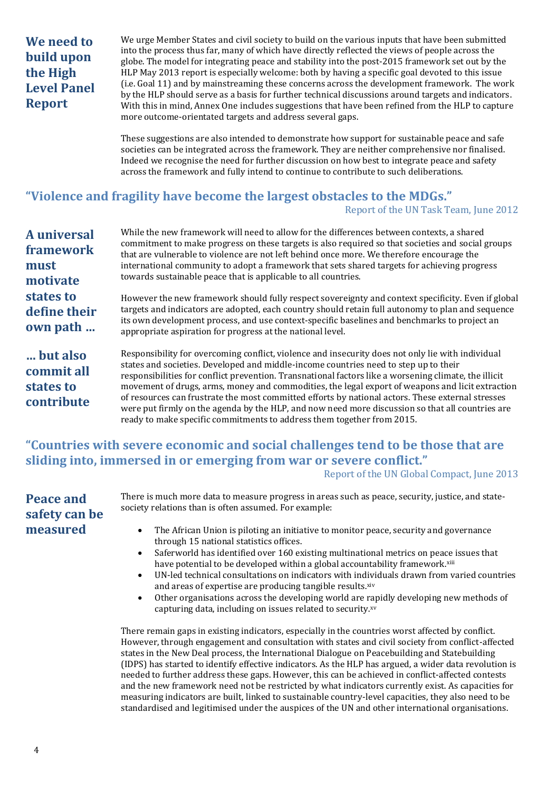# **We need to build upon the High Level Panel Report**

We urge Member States and civil society to build on the various inputs that have been submitted into the process thus far, many of which have directly reflected the views of people across the globe. The model for integrating peace and stability into the post-2015 framework set out by the HLP May 2013 report is especially welcome: both by having a specific goal devoted to this issue (i.e. Goal 11) and by mainstreaming these concerns across the development framework. The work by the HLP should serve as a basis for further technical discussions around targets and indicators. With this in mind, Annex One includes suggestions that have been refined from the HLP to capture more outcome-orientated targets and address several gaps.

These suggestions are also intended to demonstrate how support for sustainable peace and safe societies can be integrated across the framework. They are neither comprehensive nor finalised. Indeed we recognise the need for further discussion on how best to integrate peace and safety across the framework and fully intend to continue to contribute to such deliberations.

# **"Violence and fragility have become the largest obstacles to the MDGs."**

Report of the UN Task Team, June 2012

| <b>A</b> universal<br>framework<br>must<br>motivate | While the new framework will need to allow for the differences between contexts, a shared<br>commitment to make progress on these targets is also required so that societies and social groups<br>that are vulnerable to violence are not left behind once more. We therefore encourage the<br>international community to adopt a framework that sets shared targets for achieving progress<br>towards sustainable peace that is applicable to all countries.                                                                                                                                                   |
|-----------------------------------------------------|-----------------------------------------------------------------------------------------------------------------------------------------------------------------------------------------------------------------------------------------------------------------------------------------------------------------------------------------------------------------------------------------------------------------------------------------------------------------------------------------------------------------------------------------------------------------------------------------------------------------|
| states to<br>define their<br>own path               | However the new framework should fully respect sovereignty and context specificity. Even if global<br>targets and indicators are adopted, each country should retain full autonomy to plan and sequence<br>its own development process, and use context-specific baselines and benchmarks to project an<br>appropriate aspiration for progress at the national level.                                                                                                                                                                                                                                           |
| but also<br>commit all<br>states to<br>contribute   | Responsibility for overcoming conflict, violence and insecurity does not only lie with individual<br>states and societies. Developed and middle-income countries need to step up to their<br>responsibilities for conflict prevention. Transnational factors like a worsening climate, the illicit<br>movement of drugs, arms, money and commodities, the legal export of weapons and licit extraction<br>of resources can frustrate the most committed efforts by national actors. These external stresses<br>were put firmly on the agenda by the HLP, and now need more discussion so that all countries are |

### **"Countries with severe economic and social challenges tend to be those that are sliding into, immersed in or emerging from war or severe conflict."** Report of the UN Global Compact, June 2013

ready to make specific commitments to address them together from 2015.

| <b>Peace and</b> |
|------------------|
| safety can be    |
| measured         |

There is much more data to measure progress in areas such as peace, security, justice, and statesociety relations than is often assumed. For example:

- The African Union is piloting an initiative to monitor peace, security and governance through 15 national statistics offices.
- Saferworld has identified over 160 existing multinational metrics on peace issues that have potential to be developed within a global accountability framework.<sup>xiii</sup>
- UN-led technical consultations on indicators with individuals drawn from varied countries and areas of expertise are producing tangible results.xiv
- Other organisations across the developing world are rapidly developing new methods of capturing data, including on issues related to security.xv

There remain gaps in existing indicators, especially in the countries worst affected by conflict. However, through engagement and consultation with states and civil society from conflict-affected states in the New Deal process, the International Dialogue on Peacebuilding and Statebuilding (IDPS) has started to identify effective indicators. As the HLP has argued, a wider data revolution is needed to further address these gaps. However, this can be achieved in conflict-affected contests and the new framework need not be restricted by what indicators currently exist. As capacities for measuring indicators are built, linked to sustainable country-level capacities, they also need to be standardised and legitimised under the auspices of the UN and other international organisations.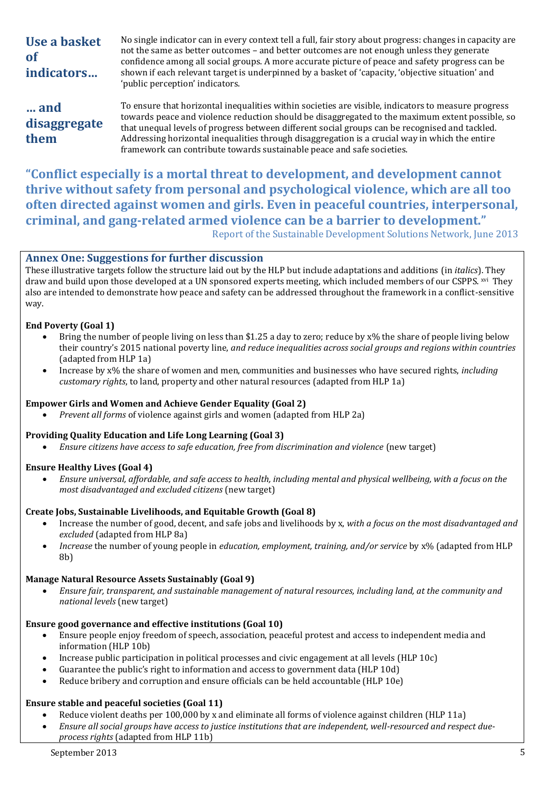| Use a basket<br><b>of</b><br>indicators | No single indicator can in every context tell a full, fair story about progress: changes in capacity are<br>not the same as better outcomes – and better outcomes are not enough unless they generate<br>confidence among all social groups. A more accurate picture of peace and safety progress can be<br>shown if each relevant target is underpinned by a basket of 'capacity, 'objective situation' and<br>'public perception' indicators.                                      |
|-----------------------------------------|--------------------------------------------------------------------------------------------------------------------------------------------------------------------------------------------------------------------------------------------------------------------------------------------------------------------------------------------------------------------------------------------------------------------------------------------------------------------------------------|
| and<br>disaggregate<br>them             | To ensure that horizontal inequalities within societies are visible, indicators to measure progress<br>towards peace and violence reduction should be disaggregated to the maximum extent possible, so<br>that unequal levels of progress between different social groups can be recognised and tackled.<br>Addressing horizontal inequalities through disaggregation is a crucial way in which the entire<br>framework can contribute towards sustainable peace and safe societies. |

**"Conflict especially is a mortal threat to development, and development cannot thrive without safety from personal and psychological violence, which are all too often directed against women and girls. Even in peaceful countries, interpersonal, criminal, and gang-related armed violence can be a barrier to development."** Report of the Sustainable Development Solutions Network, June 2013

### **Annex One: Suggestions for further discussion**

These illustrative targets follow the structure laid out by the HLP but include adaptations and additions (in *italics*). They draw and build upon those developed at a UN sponsored experts meeting, which included members of our CSPPS. <sup>xvi</sup> They also are intended to demonstrate how peace and safety can be addressed throughout the framework in a conflict-sensitive way.

### **End Poverty (Goal 1)**

- Bring the number of people living on less than \$1.25 a day to zero; reduce by x% the share of people living below their country's 2015 national poverty line, *and reduce inequalities across social groups and regions within countries*  (adapted from HLP 1a)
- Increase by x% the share of women and men, communities and businesses who have secured rights, *including customary rights*, to land, property and other natural resources (adapted from HLP 1a)

### **Empower Girls and Women and Achieve Gender Equality (Goal 2)**

*Prevent all forms* of violence against girls and women (adapted from HLP 2a)

### **Providing Quality Education and Life Long Learning (Goal 3)**

*Ensure citizens have access to safe education, free from discrimination and violence* (new target)

### **Ensure Healthy Lives (Goal 4)**

 *Ensure universal, affordable, and safe access to health, including mental and physical wellbeing, with a focus on the most disadvantaged and excluded citizens* (new target)

### **Create Jobs, Sustainable Livelihoods, and Equitable Growth (Goal 8)**

- Increase the number of good, decent, and safe jobs and livelihoods by x, *with a focus on the most disadvantaged and excluded* (adapted from HLP 8a)
- *Increase* the number of young people in *education, employment, training, and/or service* by x% (adapted from HLP 8b)

### **Manage Natural Resource Assets Sustainably (Goal 9)**

 *Ensure fair, transparent, and sustainable management of natural resources, including land, at the community and national levels* (new target)

### **Ensure good governance and effective institutions (Goal 10)**

- Ensure people enjoy freedom of speech, association, peaceful protest and access to independent media and information (HLP 10b)
- Increase public participation in political processes and civic engagement at all levels (HLP 10c)
- Guarantee the public's right to information and access to government data (HLP 10d)
- Reduce bribery and corruption and ensure officials can be held accountable (HLP 10e)

### **Ensure stable and peaceful societies (Goal 11)**

- Reduce violent deaths per 100,000 by x and eliminate all forms of violence against children (HLP 11a)
- *Ensure all social groups have access to justice institutions that are independent, well-resourced and respect dueprocess rights* (adapted from HLP 11b)